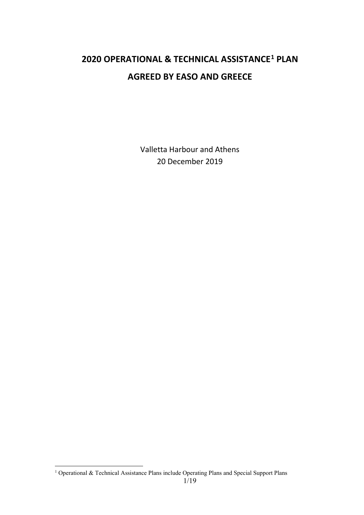# **2020 OPERATIONAL & TECHNICAL ASSISTANCE[1](#page-0-0) PLAN AGREED BY EASO AND GREECE**

Valletta Harbour and Athens 20 December 2019

<span id="page-0-0"></span>1 Operational & Technical Assistance Plans include Operating Plans and Special Support Plans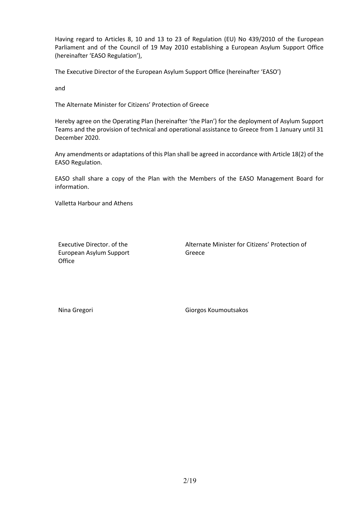Having regard to Articles 8, 10 and 13 to 23 of Regulation (EU) No 439/2010 of the European Parliament and of the Council of 19 May 2010 establishing a European Asylum Support Office (hereinafter 'EASO Regulation'),

The Executive Director of the European Asylum Support Office (hereinafter 'EASO')

and

The Alternate Minister for Citizens' Protection of Greece

Hereby agree on the Operating Plan (hereinafter 'the Plan') for the deployment of Asylum Support Teams and the provision of technical and operational assistance to Greece from 1 January until 31 December 2020.

Any amendments or adaptations of this Plan shall be agreed in accordance with Article 18(2) of the EASO Regulation.

EASO shall share a copy of the Plan with the Members of the EASO Management Board for information.

Valletta Harbour and Athens

Executive Director. of the European Asylum Support **Office** 

Alternate Minister for Citizens' Protection of Greece

Nina Gregori **Giorgos Koumoutsakos**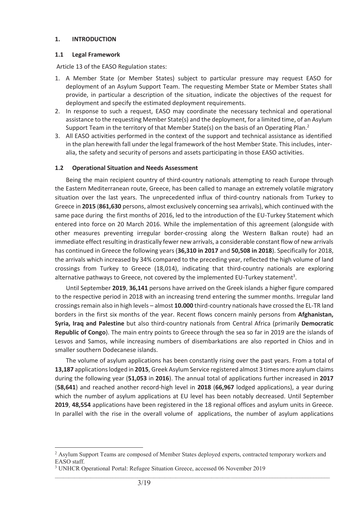#### **1. INTRODUCTION**

#### **1.1 Legal Framework**

Article 13 of the EASO Regulation states:

- 1. A Member State (or Member States) subject to particular pressure may request EASO for deployment of an Asylum Support Team. The requesting Member State or Member States shall provide, in particular a description of the situation, indicate the objectives of the request for deployment and specify the estimated deployment requirements.
- 2. In response to such a request, EASO may coordinate the necessary technical and operational assistance to the requesting Member State(s) and the deployment, for a limited time, of an Asylum Support Team in the territory of that Member State(s) on the basis of an Operating Plan.<sup>2</sup>
- 3. All EASO activities performed in the context of the support and technical assistance as identified in the plan herewith fall under the legal framework of the host Member State. This includes, interalia, the safety and security of persons and assets participating in those EASO activities.

#### **1.2 Operational Situation and Needs Assessment**

Being the main recipient country of third-country nationals attempting to reach Europe through the Eastern Mediterranean route, Greece, has been called to manage an extremely volatile migratory situation over the last years. The unprecedented influx of third-country nationals from Turkey to Greece in **2015** (**861,630** persons, almost exclusively concerning sea arrivals), which continued with the same pace during the first months of 2016, led to the introduction of the EU-Turkey Statement which entered into force on 20 March 2016. While the implementation of this agreement (alongside with other measures preventing irregular border-crossing along the Western Balkan route) had an immediate effect resulting in drastically fewer new arrivals, a considerable constant flow of new arrivals has continued in Greece the following years (**36,310 in 2017** and **50,508 in 2018**). Specifically for 2018, the arrivals which increased by 34% compared to the preceding year, reflected the high volume of land crossings from Turkey to Greece (18,014), indicating that third-country nationals are exploring alternative pathways to Greece, not covered by the implemented EU-Turkey statement<sup>3</sup>.

Until September **2019**, **36,141** persons have arrived on the Greek islands a higher figure compared to the respective period in 2018 with an increasing trend entering the summer months. Irregular land crossings remain also in high levels – almost **10.000** third-country nationals have crossed the EL-TR land borders in the first six months of the year. Recent flows concern mainly persons from **Afghanistan, Syria, Iraq and Palestine** but also third-country nationals from Central Africa (primarily **Democratic Republic of Congo**). The main entry points to Greece through the sea so far in 2019 are the islands of Lesvos and Samos, while increasing numbers of disembarkations are also reported in Chios and in smaller southern Dodecanese islands.

The volume of asylum applications has been constantly rising over the past years. From a total of **13,187** applications lodged in **2015**, Greek Asylum Service registered almost 3 times more asylum claims during the following year (**51,053** in **2016**). The annual total of applications further increased in **2017** (**58,641**) and reached another record-high level in **2018** (**66,967** lodged applications), a year during which the number of asylum applications at EU level has been notably decreased. Until September **2019**, **48,554** applications have been registered in the 18 regional offices and asylum units in Greece. In parallel with the rise in the overall volume of applications, the number of asylum applications

 $\mathcal{L}_\text{max}$ 

 $\overline{a}$ 

<sup>&</sup>lt;sup>2</sup> Asylum Support Teams are composed of Member States deployed experts, contracted temporary workers and EASO staff.

<sup>&</sup>lt;sup>3</sup> UNHCR Operational Portal: Refugee Situation Greece, accessed 06 November 2019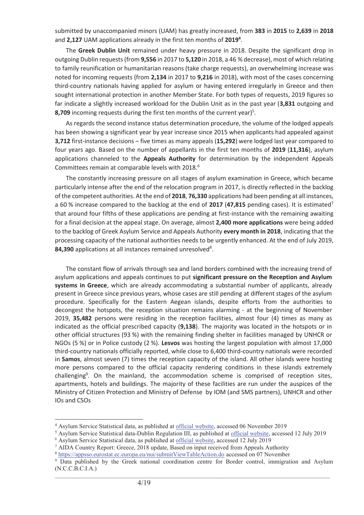submitted by unaccompanied minors (UAM) has greatly increased, from **383** in **2015** to **2,639** in **2018** and **2,127** UAM applications already in the first ten months of **20194** .

The **Greek Dublin Unit** remained under heavy pressure in 2018. Despite the significant drop in outgoing Dublin requests (from **9,556** in 2017 to **5,120** in 2018, a 46 % decrease), most of which relating to family reunification or humanitarian reasons (take charge requests), an overwhelming increase was noted for incoming requests (from **2,134** in 2017 to **9,216** in 2018), with most of the cases concerning third-country nationals having applied for asylum or having entered irregularly in Greece and then sought international protection in another Member State. For both types of requests, 2019 figures so far indicate a slightly increased workload for the Dublin Unit as in the past year (**3,831** outgoing and 8,709 incoming requests during the first ten months of the current year)<sup>5</sup>.

As regards the second instance status determination procedure, the volume of the lodged appeals has been showing a significant year by year increase since 2015 when applicants had appealed against **3,712** first-instance decisions – five times as many appeals (**15,292**) were lodged last year compared to four years ago. Based on the number of appellants in the first ten months of **2019** (**11,316**), asylum applications channeled to the **Appeals Authority** for determination by the independent Appeals Committees remain at comparable levels with 2018.<sup>6</sup>

The constantly increasing pressure on all stages of asylum examination in Greece, which became particularly intense after the end of the relocation program in 2017, is directly reflected in the backlog of the competent authorities. At the end of **2018**, **76,330** applications had been pending at all instances, a 60 % increase compared to the backlog at the end of **2017** (**47,815** pending cases). It is estimated7 that around four fifths of these applications are pending at first-instance with the remaining awaiting for a final decision at the appeal stage. On average, almost **2,400 more applications** were being added to the backlog of Greek Asylum Service and Appeals Authority **every month in 2018**, indicating that the processing capacity of the national authorities needs to be urgently enhanced. At the end of July 2019, 84,390 applications at all instances remained unresolved<sup>8</sup>.

The constant flow of arrivals through sea and land borders combined with the increasing trend of asylum applications and appeals continues to put **significant pressure on the Reception and Asylum systems in Greece**, which are already accommodating a substantial number of applicants, already present in Greece since previous years, whose cases are still pending at different stages of the asylum procedure. Specifically for the Eastern Aegean islands, despite efforts from the authorities to decongest the hotspots, the reception situation remains alarming - at the beginning of November 2019, **35,482** persons were residing in the reception facilities, almost four (4) times as many as indicated as the official prescribed capacity (**9,138**). The majority was located in the hotspots or in other official structures (93 %) with the remaining finding shelter in facilities managed by UNHCR or NGOs (5 %) or in Police custody (2 %). **Lesvos** was hosting the largest population with almost 17,000 third-country nationals officially reported, while close to 6,400 third-country nationals were recorded in **Samos**, almost seven (7) times the reception capacity of the island. All other islands were hosting more persons compared to the official capacity rendering conditions in these islands extremely challenging<sup>9</sup>. On the mainland, the accommodation scheme is comprised of reception sites, apartments, hotels and buildings. The majority of these facilities are run under the auspices of the Ministry of Citizen Protection and Ministry of Defense by IOM (and SMS partners), UNHCR and other IOs and CSOs

 $\overline{a}$ 

<sup>&</sup>lt;sup>4</sup> Asylum Service Statistical data, as published at <u>official website</u>, accessed 06 November 2019<br><sup>5</sup> Asylum Service Statistical data-Dublin Requlation III as published at official website, access

<sup>&</sup>lt;sup>5</sup> Asylum Service Statistical data-Dublin Regulation III, as published at official website, accessed 12 July 2019

<sup>&</sup>lt;sup>6</sup> Asylum Service Statistical data, as published at **official website**, accessed 12 July 2019

<sup>&</sup>lt;sup>7</sup> AIDA Country Report: Greece, 2018 update, Based on input received from Appeals Authority  $8$  https://appsso.eurostat.ec.europa.eu/nui/submitViewTableAction.do accessed on 07 November

 $\mathcal{L}_\text{max}$ <sup>9</sup> Data published by the Greek national coordination centre for Border control, immigration and Asylum (N.C.C.B.C.I.A.)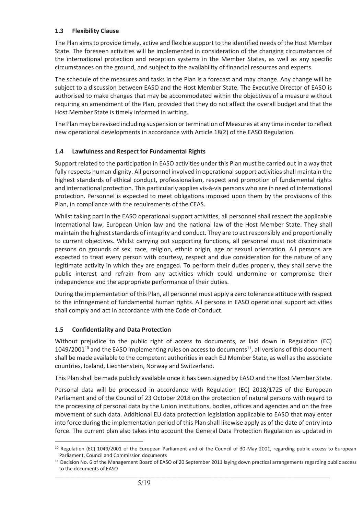# **1.3 Flexibility Clause**

The Plan aims to provide timely, active and flexible support to the identified needs of the Host Member State. The foreseen activities will be implemented in consideration of the changing circumstances of the international protection and reception systems in the Member States, as well as any specific circumstances on the ground, and subject to the availability of financial resources and experts.

The schedule of the measures and tasks in the Plan is a forecast and may change. Any change will be subject to a discussion between EASO and the Host Member State. The Executive Director of EASO is authorised to make changes that may be accommodated within the objectives of a measure without requiring an amendment of the Plan, provided that they do not affect the overall budget and that the Host Member State is timely informed in writing.

The Plan may be revised including suspension or termination of Measures at any time in order to reflect new operational developments in accordance with Article 18(2) of the EASO Regulation.

# **1.4 Lawfulness and Respect for Fundamental Rights**

Support related to the participation in EASO activities under this Plan must be carried out in a way that fully respects human dignity. All personnel involved in operational support activities shall maintain the highest standards of ethical conduct, professionalism, respect and promotion of fundamental rights and international protection. This particularly applies vis-à-vis persons who are in need of international protection. Personnel is expected to meet obligations imposed upon them by the provisions of this Plan, in compliance with the requirements of the CEAS.

Whilst taking part in the EASO operational support activities, all personnel shall respect the applicable International law, European Union law and the national law of the Host Member State. They shall maintain the highest standards of integrity and conduct. They are to act responsibly and proportionally to current objectives. Whilst carrying out supporting functions, all personnel must not discriminate persons on grounds of sex, race, religion, ethnic origin, age or sexual orientation. All persons are expected to treat every person with courtesy, respect and due consideration for the nature of any legitimate activity in which they are engaged. To perform their duties properly, they shall serve the public interest and refrain from any activities which could undermine or compromise their independence and the appropriate performance of their duties.

During the implementation of this Plan, all personnel must apply a zero tolerance attitude with respect to the infringement of fundamental human rights. All persons in EASO operational support activities shall comply and act in accordance with the Code of Conduct.

#### **1.5 Confidentiality and Data Protection**

 $\overline{a}$ 

Without prejudice to the public right of access to documents, as laid down in Regulation (EC)  $1049/2001^{10}$  and the EASO implementing rules on access to documents<sup>11</sup>, all versions of this document shall be made available to the competent authorities in each EU Member State, as well as the associate countries, Iceland, Liechtenstein, Norway and Switzerland.

This Plan shall be made publicly available once it has been signed by EASO and the Host Member State.

Personal data will be processed in accordance with Regulation (EC) 2018/1725 of the European Parliament and of the Council of 23 October 2018 on the protection of natural persons with regard to the processing of personal data by the Union institutions, bodies, offices and agencies and on the free movement of such data. Additional EU data protection legislation applicable to EASO that may enter into force during the implementation period of this Plan shall likewise apply as of the date of entry into force. The current plan also takes into account the General Data Protection Regulation as updated in

<sup>&</sup>lt;sup>10</sup> Regulation (EC) 1049/2001 of the European Parliament and of the Council of 30 May 2001, regarding public access to European Parliament, Council and Commission documents

<sup>11</sup> Decision No. 6 of the Management Board of EASO of 20 September 2011 laying down practical arrangements regarding public access to the documents of EASO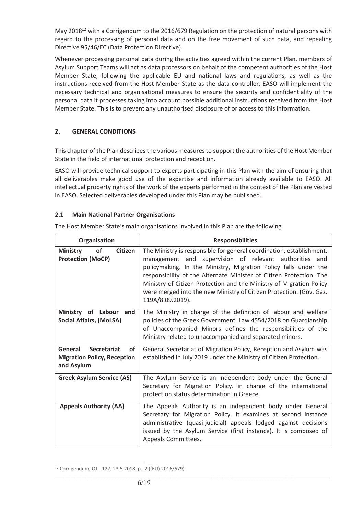May 2018<sup>12</sup> with a Corrigendum to the 2016/679 Regulation on the protection of natural persons with regard to the processing of personal data and on the free movement of such data, and repealing Directive 95/46/EC (Data Protection Directive).

Whenever processing personal data during the activities agreed within the current Plan, members of Asylum Support Teams will act as data processors on behalf of the competent authorities of the Host Member State, following the applicable EU and national laws and regulations, as well as the instructions received from the Host Member State as the data controller. EASO will implement the necessary technical and organisational measures to ensure the security and confidentiality of the personal data it processes taking into account possible additional instructions received from the Host Member State. This is to prevent any unauthorised disclosure of or access to this information.

# **2. GENERAL CONDITIONS**

This chapter of the Plan describes the various measures to support the authorities of the Host Member State in the field of international protection and reception.

EASO will provide technical support to experts participating in this Plan with the aim of ensuring that all deliverables make good use of the expertise and information already available to EASO. All intellectual property rights of the work of the experts performed in the context of the Plan are vested in EASO. Selected deliverables developed under this Plan may be published.

#### **2.1 Main National Partner Organisations**

The Host Member State's main organisations involved in this Plan are the following.

| Organisation                                                                                   | <b>Responsibilities</b>                                                                                                                                                                                                                                                                                                                                                                                                                    |
|------------------------------------------------------------------------------------------------|--------------------------------------------------------------------------------------------------------------------------------------------------------------------------------------------------------------------------------------------------------------------------------------------------------------------------------------------------------------------------------------------------------------------------------------------|
| <b>Ministry</b><br><b>Citizen</b><br><b>of</b><br><b>Protection (MoCP)</b>                     | The Ministry is responsible for general coordination, establishment,<br>management and supervision of relevant authorities and<br>policymaking. In the Ministry, Migration Policy falls under the<br>responsibility of the Alternate Minister of Citizen Protection. The<br>Ministry of Citizen Protection and the Ministry of Migration Policy<br>were merged into the new Ministry of Citizen Protection. (Gov. Gaz.<br>119A/8.09.2019). |
| Ministry of Labour<br>and<br><b>Social Affairs, (MoLSA)</b>                                    | The Ministry in charge of the definition of labour and welfare<br>policies of the Greek Government. Law 4554/2018 on Guardianship<br>of Unaccompanied Minors defines the responsibilities of the<br>Ministry related to unaccompanied and separated minors.                                                                                                                                                                                |
| General<br><b>Secretariat</b><br><b>of</b><br><b>Migration Policy, Reception</b><br>and Asylum | General Secretariat of Migration Policy, Reception and Asylum was<br>established in July 2019 under the Ministry of Citizen Protection.                                                                                                                                                                                                                                                                                                    |
| <b>Greek Asylum Service (AS)</b>                                                               | The Asylum Service is an independent body under the General<br>Secretary for Migration Policy. in charge of the international<br>protection status determination in Greece.                                                                                                                                                                                                                                                                |
| <b>Appeals Authority (AA)</b>                                                                  | The Appeals Authority is an independent body under General<br>Secretary for Migration Policy. It examines at second instance<br>administrative (quasi-judicial) appeals lodged against decisions<br>issued by the Asylum Service (first instance). It is composed of<br>Appeals Committees.                                                                                                                                                |

 $\mathcal{L}_\text{max}$ 

 $\overline{a}$ 

<sup>12</sup> Corrigendum, OJ L 127, 23.5.2018, p. 2 ((EU) 2016/679)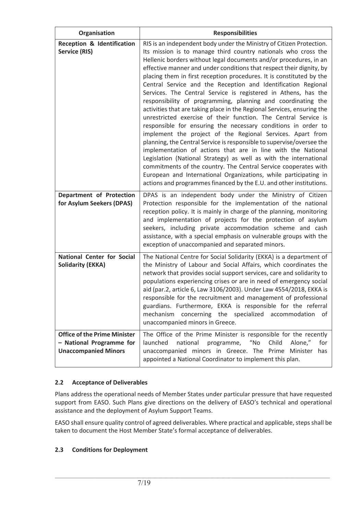| Organisation                                                                                   | <b>Responsibilities</b>                                                                                                                                                                                                                                                                                                                                                                                                                                                                                                                                                                                                                                                                                                                                                                                                                                                                                                                                                                                                                                                                                                                                                                                                                                                 |
|------------------------------------------------------------------------------------------------|-------------------------------------------------------------------------------------------------------------------------------------------------------------------------------------------------------------------------------------------------------------------------------------------------------------------------------------------------------------------------------------------------------------------------------------------------------------------------------------------------------------------------------------------------------------------------------------------------------------------------------------------------------------------------------------------------------------------------------------------------------------------------------------------------------------------------------------------------------------------------------------------------------------------------------------------------------------------------------------------------------------------------------------------------------------------------------------------------------------------------------------------------------------------------------------------------------------------------------------------------------------------------|
| <b>Reception &amp; Identification</b><br><b>Service (RIS)</b>                                  | RIS is an independent body under the Ministry of Citizen Protection.<br>Its mission is to manage third country nationals who cross the<br>Hellenic borders without legal documents and/or procedures, in an<br>effective manner and under conditions that respect their dignity, by<br>placing them in first reception procedures. It is constituted by the<br>Central Service and the Reception and Identification Regional<br>Services. The Central Service is registered in Athens, has the<br>responsibility of programming, planning and coordinating the<br>activities that are taking place in the Regional Services, ensuring the<br>unrestricted exercise of their function. The Central Service is<br>responsible for ensuring the necessary conditions in order to<br>implement the project of the Regional Services. Apart from<br>planning, the Central Service is responsible to supervise/oversee the<br>implementation of actions that are in line with the National<br>Legislation (National Strategy) as well as with the international<br>commitments of the country. The Central Service cooperates with<br>European and International Organizations, while participating in<br>actions and programmes financed by the E.U. and other institutions. |
| Department of Protection<br>for Asylum Seekers (DPAS)                                          | DPAS is an independent body under the Ministry of Citizen<br>Protection responsible for the implementation of the national<br>reception policy. It is mainly in charge of the planning, monitoring<br>and implementation of projects for the protection of asylum<br>seekers, including private accommodation scheme and cash<br>assistance, with a special emphasis on vulnerable groups with the<br>exception of unaccompanied and separated minors.                                                                                                                                                                                                                                                                                                                                                                                                                                                                                                                                                                                                                                                                                                                                                                                                                  |
| <b>National Center for Social</b><br><b>Solidarity (EKKA)</b>                                  | The National Centre for Social Solidarity (EKKA) is a department of<br>the Ministry of Labour and Social Affairs, which coordinates the<br>network that provides social support services, care and solidarity to<br>populations experiencing crises or are in need of emergency social<br>aid (par.2, article 6, Law 3106/2003). Under Law 4554/2018, EKKA is<br>responsible for the recruitment and management of professional<br>guardians. Furthermore, EKKA is responsible for the referral<br>mechanism concerning the specialized accommodation<br>0f<br>unaccompanied minors in Greece.                                                                                                                                                                                                                                                                                                                                                                                                                                                                                                                                                                                                                                                                          |
| <b>Office of the Prime Minister</b><br>- National Programme for<br><b>Unaccompanied Minors</b> | The Office of the Prime Minister is responsible for the recently<br>$^{\prime\prime}$ No<br>Child<br>Alone,"<br>launched<br>national<br>programme,<br>for<br>unaccompanied minors in Greece. The Prime Minister has<br>appointed a National Coordinator to implement this plan.                                                                                                                                                                                                                                                                                                                                                                                                                                                                                                                                                                                                                                                                                                                                                                                                                                                                                                                                                                                         |

# **2.2 Acceptance of Deliverables**

Plans address the operational needs of Member States under particular pressure that have requested support from EASO. Such Plans give directions on the delivery of EASO's technical and operational assistance and the deployment of Asylum Support Teams.

EASO shall ensure quality control of agreed deliverables. Where practical and applicable, steps shall be taken to document the Host Member State's formal acceptance of deliverables.

 $\mathcal{L}_\text{max}$ 

#### **2.3 Conditions for Deployment**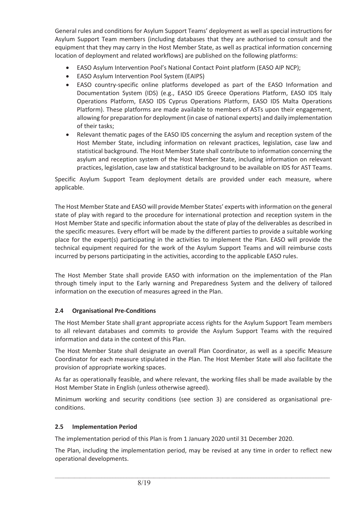General rules and conditions for Asylum Support Teams' deployment as well as special instructions for Asylum Support Team members (including databases that they are authorised to consult and the equipment that they may carry in the Host Member State, as well as practical information concerning location of deployment and related workflows) are published on the following platforms:

- EASO Asylum Intervention Pool's National Contact Point platform (EASO AIP NCP);
- EASO Asylum Intervention Pool System (EAIPS)
- EASO country-specific online platforms developed as part of the EASO Information and Documentation System (IDS) (e.g., EASO IDS Greece Operations Platform, EASO IDS Italy Operations Platform, EASO IDS Cyprus Operations Platform, EASO IDS Malta Operations Platform). These platforms are made available to members of ASTs upon their engagement, allowing for preparation for deployment (in case of national experts) and daily implementation of their tasks;
- Relevant thematic pages of the EASO IDS concerning the asylum and reception system of the Host Member State, including information on relevant practices, legislation, case law and statistical background. The Host Member State shall contribute to information concerning the asylum and reception system of the Host Member State, including information on relevant practices, legislation, case law and statistical background to be available on IDS for AST Teams.

Specific Asylum Support Team deployment details are provided under each measure, where applicable.

The Host Member State and EASO will provide Member States' experts with information on the general state of play with regard to the procedure for international protection and reception system in the Host Member State and specific information about the state of play of the deliverables as described in the specific measures. Every effort will be made by the different parties to provide a suitable working place for the expert(s) participating in the activities to implement the Plan. EASO will provide the technical equipment required for the work of the Asylum Support Teams and will reimburse costs incurred by persons participating in the activities, according to the applicable EASO rules.

The Host Member State shall provide EASO with information on the implementation of the Plan through timely input to the Early warning and Preparedness System and the delivery of tailored information on the execution of measures agreed in the Plan.

#### **2.4 Organisational Pre-Conditions**

The Host Member State shall grant appropriate access rights for the Asylum Support Team members to all relevant databases and commits to provide the Asylum Support Teams with the required information and data in the context of this Plan.

The Host Member State shall designate an overall Plan Coordinator, as well as a specific Measure Coordinator for each measure stipulated in the Plan. The Host Member State will also facilitate the provision of appropriate working spaces.

As far as operationally feasible, and where relevant, the working files shall be made available by the Host Member State in English (unless otherwise agreed).

Minimum working and security conditions (see section 3) are considered as organisational preconditions.

#### **2.5 Implementation Period**

The implementation period of this Plan is from 1 January 2020 until 31 December 2020.

The Plan, including the implementation period, may be revised at any time in order to reflect new operational developments.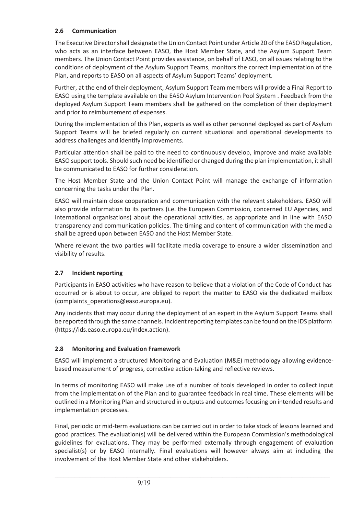# **2.6 Communication**

The Executive Director shall designate the Union Contact Point under Article 20 of the EASO Regulation, who acts as an interface between EASO, the Host Member State, and the Asylum Support Team members. The Union Contact Point provides assistance, on behalf of EASO, on all issues relating to the conditions of deployment of the Asylum Support Teams, monitors the correct implementation of the Plan, and reports to EASO on all aspects of Asylum Support Teams' deployment.

Further, at the end of their deployment, Asylum Support Team members will provide a Final Report to EASO using the template available on the EASO Asylum Intervention Pool System . Feedback from the deployed Asylum Support Team members shall be gathered on the completion of their deployment and prior to reimbursement of expenses.

During the implementation of this Plan, experts as well as other personnel deployed as part of Asylum Support Teams will be briefed regularly on current situational and operational developments to address challenges and identify improvements.

Particular attention shall be paid to the need to continuously develop, improve and make available EASO support tools. Should such need be identified or changed during the plan implementation, it shall be communicated to EASO for further consideration.

The Host Member State and the Union Contact Point will manage the exchange of information concerning the tasks under the Plan.

EASO will maintain close cooperation and communication with the relevant stakeholders. EASO will also provide information to its partners (i.e. the European Commission, concerned EU Agencies, and international organisations) about the operational activities, as appropriate and in line with EASO transparency and communication policies. The timing and content of communication with the media shall be agreed upon between EASO and the Host Member State.

Where relevant the two parties will facilitate media coverage to ensure a wider dissemination and visibility of results.

# **2.7 Incident reporting**

Participants in EASO activities who have reason to believe that a violation of the Code of Conduct has occurred or is about to occur, are obliged to report the matter to EASO via the dedicated mailbox (complaints\_operations@easo.europa.eu).

Any incidents that may occur during the deployment of an expert in the Asylum Support Teams shall be reported through the same channels. Incident reporting templates can be found on the IDS platform (https://ids.easo.europa.eu/index.action).

# **2.8 Monitoring and Evaluation Framework**

EASO will implement a structured Monitoring and Evaluation (M&E) methodology allowing evidencebased measurement of progress, corrective action-taking and reflective reviews.

In terms of monitoring EASO will make use of a number of tools developed in order to collect input from the implementation of the Plan and to guarantee feedback in real time. These elements will be outlined in a Monitoring Plan and structured in outputs and outcomes focusing on intended results and implementation processes.

Final, periodic or mid-term evaluations can be carried out in order to take stock of lessons learned and good practices. The evaluation(s) will be delivered within the European Commission's methodological guidelines for evaluations. They may be performed externally through engagement of evaluation specialist(s) or by EASO internally. Final evaluations will however always aim at including the involvement of the Host Member State and other stakeholders.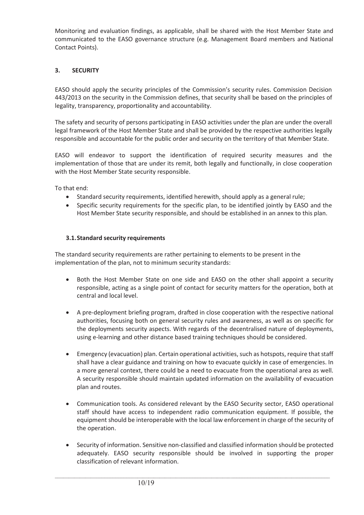Monitoring and evaluation findings, as applicable, shall be shared with the Host Member State and communicated to the EASO governance structure (e.g. Management Board members and National Contact Points).

# **3. SECURITY**

EASO should apply the security principles of the Commission's security rules. Commission Decision 443/2013 on the security in the Commission defines, that security shall be based on the principles of legality, transparency, proportionality and accountability.

The safety and security of persons participating in EASO activities under the plan are under the overall legal framework of the Host Member State and shall be provided by the respective authorities legally responsible and accountable for the public order and security on the territory of that Member State.

EASO will endeavor to support the identification of required security measures and the implementation of those that are under its remit, both legally and functionally, in close cooperation with the Host Member State security responsible.

To that end:

- Standard security requirements, identified herewith, should apply as a general rule;
- Specific security requirements for the specific plan, to be identified jointly by EASO and the Host Member State security responsible, and should be established in an annex to this plan.

#### **3.1.Standard security requirements**

The standard security requirements are rather pertaining to elements to be present in the implementation of the plan, not to minimum security standards:

- Both the Host Member State on one side and EASO on the other shall appoint a security responsible, acting as a single point of contact for security matters for the operation, both at central and local level.
- A pre-deployment briefing program, drafted in close cooperation with the respective national authorities, focusing both on general security rules and awareness, as well as on specific for the deployments security aspects. With regards of the decentralised nature of deployments, using e-learning and other distance based training techniques should be considered.
- Emergency (evacuation) plan. Certain operational activities, such as hotspots, require that staff shall have a clear guidance and training on how to evacuate quickly in case of emergencies. In a more general context, there could be a need to evacuate from the operational area as well. A security responsible should maintain updated information on the availability of evacuation plan and routes.
- Communication tools. As considered relevant by the EASO Security sector, EASO operational staff should have access to independent radio communication equipment. If possible, the equipment should be interoperable with the local law enforcement in charge of the security of the operation.
- Security of information. Sensitive non-classified and classified information should be protected adequately. EASO security responsible should be involved in supporting the proper classification of relevant information.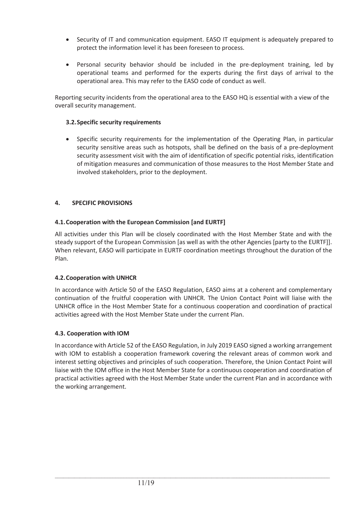- Security of IT and communication equipment. EASO IT equipment is adequately prepared to protect the information level it has been foreseen to process.
- Personal security behavior should be included in the pre-deployment training, led by operational teams and performed for the experts during the first days of arrival to the operational area. This may refer to the EASO code of conduct as well.

Reporting security incidents from the operational area to the EASO HQ is essential with a view of the overall security management.

# **3.2.Specific security requirements**

Specific security requirements for the implementation of the Operating Plan, in particular security sensitive areas such as hotspots, shall be defined on the basis of a pre-deployment security assessment visit with the aim of identification of specific potential risks, identification of mitigation measures and communication of those measures to the Host Member State and involved stakeholders, prior to the deployment.

# **4. SPECIFIC PROVISIONS**

# **4.1.Cooperation with the European Commission [and EURTF]**

All activities under this Plan will be closely coordinated with the Host Member State and with the steady support of the European Commission [as well as with the other Agencies [party to the EURTF]]. When relevant, EASO will participate in EURTF coordination meetings throughout the duration of the Plan.

#### **4.2.Cooperation with UNHCR**

In accordance with Article 50 of the EASO Regulation, EASO aims at a coherent and complementary continuation of the fruitful cooperation with UNHCR. The Union Contact Point will liaise with the UNHCR office in the Host Member State for a continuous cooperation and coordination of practical activities agreed with the Host Member State under the current Plan.

#### **4.3. Cooperation with IOM**

In accordance with Article 52 of the EASO Regulation, in July 2019 EASO signed a working arrangement with IOM to establish a cooperation framework covering the relevant areas of common work and interest setting objectives and principles of such cooperation. Therefore, the Union Contact Point will liaise with the IOM office in the Host Member State for a continuous cooperation and coordination of practical activities agreed with the Host Member State under the current Plan and in accordance with the working arrangement.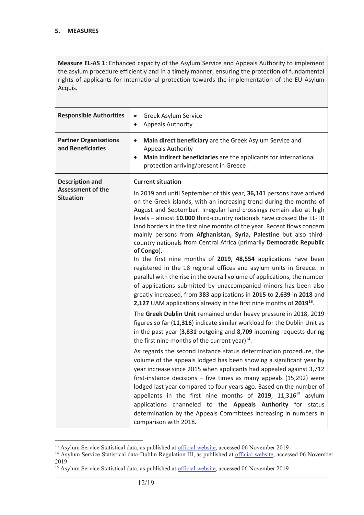**Measure EL-AS 1:** Enhanced capacity of the Asylum Service and Appeals Authority to implement the asylum procedure efficiently and in a timely manner, ensuring the protection of fundamental rights of applicants for international protection towards the implementation of the EU Asylum Acquis.

| <b>Responsible Authorities</b>                                         | Greek Asylum Service<br>$\bullet$<br><b>Appeals Authority</b><br>$\bullet$                                                                                                                                                                                                                                                                                                                                                                                                                                                                                                                                                                                                                                                                                                                                                                                                                                                                                                                                          |
|------------------------------------------------------------------------|---------------------------------------------------------------------------------------------------------------------------------------------------------------------------------------------------------------------------------------------------------------------------------------------------------------------------------------------------------------------------------------------------------------------------------------------------------------------------------------------------------------------------------------------------------------------------------------------------------------------------------------------------------------------------------------------------------------------------------------------------------------------------------------------------------------------------------------------------------------------------------------------------------------------------------------------------------------------------------------------------------------------|
| <b>Partner Organisations</b><br>and Beneficiaries                      | Main direct beneficiary are the Greek Asylum Service and<br>$\bullet$<br><b>Appeals Authority</b><br>Main indirect beneficiaries are the applicants for international<br>$\bullet$<br>protection arriving/present in Greece                                                                                                                                                                                                                                                                                                                                                                                                                                                                                                                                                                                                                                                                                                                                                                                         |
| <b>Description and</b><br><b>Assessment of the</b><br><b>Situation</b> | <b>Current situation</b><br>In 2019 and until September of this year, 36,141 persons have arrived<br>on the Greek islands, with an increasing trend during the months of<br>August and September. Irregular land crossings remain also at high<br>levels - almost 10.000 third-country nationals have crossed the EL-TR<br>land borders in the first nine months of the year. Recent flows concern<br>mainly persons from Afghanistan, Syria, Palestine but also third-<br>country nationals from Central Africa (primarily Democratic Republic<br>of Congo).<br>In the first nine months of 2019, 48,554 applications have been<br>registered in the 18 regional offices and asylum units in Greece. In<br>parallel with the rise in the overall volume of applications, the number<br>of applications submitted by unaccompanied minors has been also<br>greatly increased, from 383 applications in 2015 to 2,639 in 2018 and<br>2,127 UAM applications already in the first nine months of 2019 <sup>13</sup> . |
|                                                                        | The Greek Dublin Unit remained under heavy pressure in 2018, 2019<br>figures so far (11,316) indicate similar workload for the Dublin Unit as<br>in the past year (3,831 outgoing and 8,709 incoming requests during<br>the first nine months of the current year) <sup>14</sup> .<br>As regards the second instance status determination procedure, the<br>volume of the appeals lodged has been showing a significant year by<br>year increase since 2015 when applicants had appealed against 3,712<br>first-instance decisions $-$ five times as many appeals (15,292) were<br>lodged last year compared to four years ago. Based on the number of<br>appellants in the first nine months of 2019, 11,316 <sup>15</sup> asylum<br>applications channeled to the Appeals Authority for status<br>determination by the Appeals Committees increasing in numbers in<br>comparison with 2018.                                                                                                                       |

 $\overline{a}$ 

<sup>&</sup>lt;sup>13</sup> Asylum Service Statistical data, as published at <u>official website</u>, accessed 06 November 2019 <sup>14</sup> Asylum Service Statistical data-Dublin Regulation III, as published at <u>official website</u>, accessed 06 November 2019

<sup>&</sup>lt;sup>15</sup> Asylum Service Statistical data, as published at official website, accessed 06 November 2019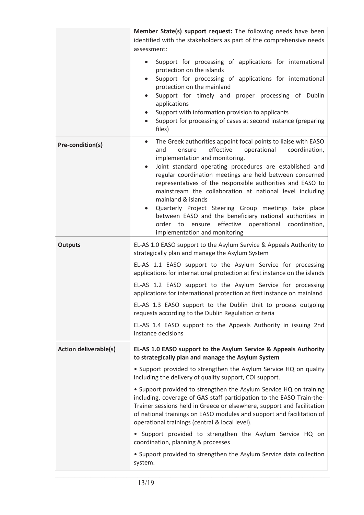|                              | Member State(s) support request: The following needs have been<br>identified with the stakeholders as part of the comprehensive needs<br>assessment:<br>Support for processing of applications for international<br>protection on the islands<br>Support for processing of applications for international<br>$\bullet$<br>protection on the mainland<br>Support for timely and proper processing of Dublin<br>applications<br>Support with information provision to applicants<br>Support for processing of cases at second instance (preparing<br>$\bullet$<br>files)                                                                                                                            |
|------------------------------|---------------------------------------------------------------------------------------------------------------------------------------------------------------------------------------------------------------------------------------------------------------------------------------------------------------------------------------------------------------------------------------------------------------------------------------------------------------------------------------------------------------------------------------------------------------------------------------------------------------------------------------------------------------------------------------------------|
| Pre-condition(s)             | The Greek authorities appoint focal points to liaise with EASO<br>$\bullet$<br>effective<br>operational<br>coordination,<br>and<br>ensure<br>implementation and monitoring.<br>Joint standard operating procedures are established and<br>$\bullet$<br>regular coordination meetings are held between concerned<br>representatives of the responsible authorities and EASO to<br>mainstream the collaboration at national level including<br>mainland & islands<br>Quarterly Project Steering Group meetings take place<br>$\bullet$<br>between EASO and the beneficiary national authorities in<br>effective<br>order to<br>ensure<br>operational coordination,<br>implementation and monitoring |
| <b>Outputs</b>               | EL-AS 1.0 EASO support to the Asylum Service & Appeals Authority to<br>strategically plan and manage the Asylum System                                                                                                                                                                                                                                                                                                                                                                                                                                                                                                                                                                            |
|                              | EL-AS 1.1 EASO support to the Asylum Service for processing<br>applications for international protection at first instance on the islands                                                                                                                                                                                                                                                                                                                                                                                                                                                                                                                                                         |
|                              | EL-AS 1.2 EASO support to the Asylum Service for processing<br>applications for international protection at first instance on mainland                                                                                                                                                                                                                                                                                                                                                                                                                                                                                                                                                            |
|                              | EL-AS 1.3 EASO support to the Dublin Unit to process outgoing<br>requests according to the Dublin Regulation criteria                                                                                                                                                                                                                                                                                                                                                                                                                                                                                                                                                                             |
|                              | EL-AS 1.4 EASO support to the Appeals Authority in issuing 2nd<br>instance decisions                                                                                                                                                                                                                                                                                                                                                                                                                                                                                                                                                                                                              |
| <b>Action deliverable(s)</b> | EL-AS 1.0 EASO support to the Asylum Service & Appeals Authority<br>to strategically plan and manage the Asylum System                                                                                                                                                                                                                                                                                                                                                                                                                                                                                                                                                                            |
|                              | • Support provided to strengthen the Asylum Service HQ on quality<br>including the delivery of quality support, COI support.                                                                                                                                                                                                                                                                                                                                                                                                                                                                                                                                                                      |
|                              | • Support provided to strengthen the Asylum Service HQ on training<br>including, coverage of GAS staff participation to the EASO Train-the-<br>Trainer sessions held in Greece or elsewhere, support and facilitation<br>of national trainings on EASO modules and support and facilitation of<br>operational trainings (central & local level).                                                                                                                                                                                                                                                                                                                                                  |
|                              | • Support provided to strengthen the Asylum Service HQ on<br>coordination, planning & processes                                                                                                                                                                                                                                                                                                                                                                                                                                                                                                                                                                                                   |
|                              | • Support provided to strengthen the Asylum Service data collection<br>system.                                                                                                                                                                                                                                                                                                                                                                                                                                                                                                                                                                                                                    |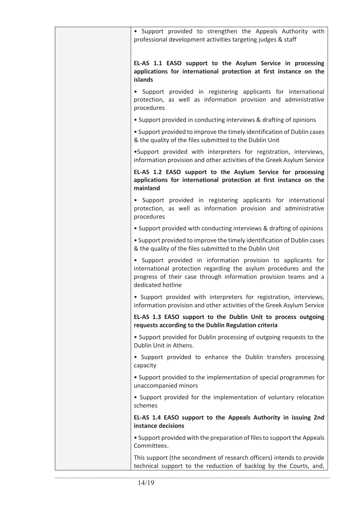| • Support provided to strengthen the Appeals Authority with<br>professional development activities targeting judges & staff                                                                                                |
|----------------------------------------------------------------------------------------------------------------------------------------------------------------------------------------------------------------------------|
| EL-AS 1.1 EASO support to the Asylum Service in processing<br>applications for international protection at first instance on the<br><b>islands</b>                                                                         |
| • Support provided in registering applicants for international<br>protection, as well as information provision and administrative<br>procedures                                                                            |
| • Support provided in conducting interviews & drafting of opinions                                                                                                                                                         |
| • Support provided to improve the timely identification of Dublin cases<br>& the quality of the files submitted to the Dublin Unit                                                                                         |
| .Support provided with interpreters for registration, interviews,<br>information provision and other activities of the Greek Asylum Service                                                                                |
| EL-AS 1.2 EASO support to the Asylum Service for processing<br>applications for international protection at first instance on the<br>mainland                                                                              |
| • Support provided in registering applicants for international<br>protection, as well as information provision and administrative<br>procedures                                                                            |
| • Support provided with conducting interviews & drafting of opinions                                                                                                                                                       |
| • Support provided to improve the timely identification of Dublin cases<br>& the quality of the files submitted to the Dublin Unit                                                                                         |
| • Support provided in information provision to applicants for<br>international protection regarding the asylum procedures and the<br>progress of their case through information provision teams and a<br>dedicated hotline |
| · Support provided with interpreters for registration, interviews,<br>information provision and other activities of the Greek Asylum Service                                                                               |
| EL-AS 1.3 EASO support to the Dublin Unit to process outgoing<br>requests according to the Dublin Regulation criteria                                                                                                      |
| • Support provided for Dublin processing of outgoing requests to the<br>Dublin Unit in Athens.                                                                                                                             |
| • Support provided to enhance the Dublin transfers processing<br>capacity                                                                                                                                                  |
| • Support provided to the implementation of special programmes for<br>unaccompanied minors                                                                                                                                 |
| • Support provided for the implementation of voluntary relocation<br>schemes                                                                                                                                               |
| EL-AS 1.4 EASO support to the Appeals Authority in issuing 2nd<br>instance decisions                                                                                                                                       |
| • Support provided with the preparation of files to support the Appeals<br>Committees.                                                                                                                                     |
| This support (the secondment of research officers) intends to provide<br>technical support to the reduction of backlog by the Courts, and,                                                                                 |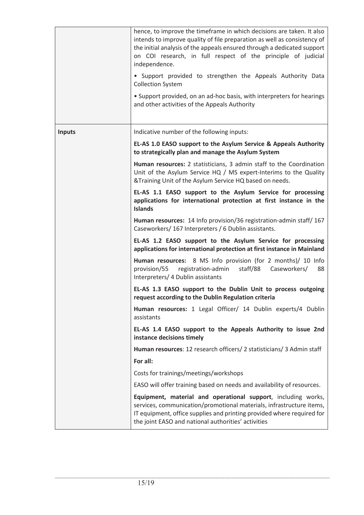|               | hence, to improve the timeframe in which decisions are taken. It also<br>intends to improve quality of file preparation as well as consistency of<br>the initial analysis of the appeals ensured through a dedicated support<br>on COI research, in full respect of the principle of judicial<br>independence.<br>• Support provided to strengthen the Appeals Authority Data<br><b>Collection System</b><br>• Support provided, on an ad-hoc basis, with interpreters for hearings<br>and other activities of the Appeals Authority |
|---------------|--------------------------------------------------------------------------------------------------------------------------------------------------------------------------------------------------------------------------------------------------------------------------------------------------------------------------------------------------------------------------------------------------------------------------------------------------------------------------------------------------------------------------------------|
| <b>Inputs</b> | Indicative number of the following inputs:                                                                                                                                                                                                                                                                                                                                                                                                                                                                                           |
|               | EL-AS 1.0 EASO support to the Asylum Service & Appeals Authority<br>to strategically plan and manage the Asylum System                                                                                                                                                                                                                                                                                                                                                                                                               |
|               | Human resources: 2 statisticians, 3 admin staff to the Coordination<br>Unit of the Asylum Service HQ / MS expert-Interims to the Quality<br>&Training Unit of the Asylum Service HQ based on needs.                                                                                                                                                                                                                                                                                                                                  |
|               | EL-AS 1.1 EASO support to the Asylum Service for processing<br>applications for international protection at first instance in the<br><b>Islands</b>                                                                                                                                                                                                                                                                                                                                                                                  |
|               | Human resources: 14 Info provision/36 registration-admin staff/ 167<br>Caseworkers/ 167 Interpreters / 6 Dublin assistants.                                                                                                                                                                                                                                                                                                                                                                                                          |
|               | EL-AS 1.2 EASO support to the Asylum Service for processing<br>applications for international protection at first instance in Mainland                                                                                                                                                                                                                                                                                                                                                                                               |
|               | Human resources: 8 MS Info provision (for 2 months)/ 10 Info<br>registration-admin<br>Caseworkers/<br>provision/55<br>staff/88<br>88<br>Interpreters/ 4 Dublin assistants                                                                                                                                                                                                                                                                                                                                                            |
|               | EL-AS 1.3 EASO support to the Dublin Unit to process outgoing<br>request according to the Dublin Regulation criteria                                                                                                                                                                                                                                                                                                                                                                                                                 |
|               | Human resources: 1 Legal Officer/ 14 Dublin experts/4 Dublin<br>assistants                                                                                                                                                                                                                                                                                                                                                                                                                                                           |
|               | EL-AS 1.4 EASO support to the Appeals Authority to issue 2nd<br>instance decisions timely                                                                                                                                                                                                                                                                                                                                                                                                                                            |
|               | Human resources: 12 research officers/ 2 statisticians/ 3 Admin staff                                                                                                                                                                                                                                                                                                                                                                                                                                                                |
|               | For all:                                                                                                                                                                                                                                                                                                                                                                                                                                                                                                                             |
|               | Costs for trainings/meetings/workshops                                                                                                                                                                                                                                                                                                                                                                                                                                                                                               |
|               | EASO will offer training based on needs and availability of resources.                                                                                                                                                                                                                                                                                                                                                                                                                                                               |
|               | Equipment, material and operational support, including works,<br>services, communication/promotional materials, infrastructure items,<br>IT equipment, office supplies and printing provided where required for<br>the joint EASO and national authorities' activities                                                                                                                                                                                                                                                               |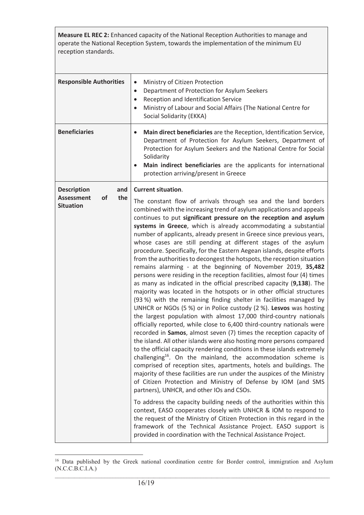**Measure EL REC 2:** Enhanced capacity of the National Reception Authorities to manage and operate the National Reception System, towards the implementation of the minimum EU reception standards.

| <b>Responsible Authorities</b>                                                         | Ministry of Citizen Protection<br>$\bullet$<br>Department of Protection for Asylum Seekers<br>$\bullet$<br>Reception and Identification Service<br>$\bullet$<br>Ministry of Labour and Social Affairs (The National Centre for<br>Social Solidarity (EKKA)                                                                                                                                                                                                                                                                                                                                                                                                                                                                                                                                                                                                                                                                                                                                                                                                                                                                                                                                                                                                                                                                                                                                                                                                                                                                                                                                                                                                                                                                                                                                                                                                                                                                                                                                                                                                                                                                                  |
|----------------------------------------------------------------------------------------|---------------------------------------------------------------------------------------------------------------------------------------------------------------------------------------------------------------------------------------------------------------------------------------------------------------------------------------------------------------------------------------------------------------------------------------------------------------------------------------------------------------------------------------------------------------------------------------------------------------------------------------------------------------------------------------------------------------------------------------------------------------------------------------------------------------------------------------------------------------------------------------------------------------------------------------------------------------------------------------------------------------------------------------------------------------------------------------------------------------------------------------------------------------------------------------------------------------------------------------------------------------------------------------------------------------------------------------------------------------------------------------------------------------------------------------------------------------------------------------------------------------------------------------------------------------------------------------------------------------------------------------------------------------------------------------------------------------------------------------------------------------------------------------------------------------------------------------------------------------------------------------------------------------------------------------------------------------------------------------------------------------------------------------------------------------------------------------------------------------------------------------------|
| <b>Beneficiaries</b>                                                                   | Main direct beneficiaries are the Reception, Identification Service,<br>Department of Protection for Asylum Seekers, Department of<br>Protection for Asylum Seekers and the National Centre for Social<br>Solidarity<br>Main indirect beneficiaries are the applicants for international<br>protection arriving/present in Greece                                                                                                                                                                                                                                                                                                                                                                                                                                                                                                                                                                                                                                                                                                                                                                                                                                                                                                                                                                                                                                                                                                                                                                                                                                                                                                                                                                                                                                                                                                                                                                                                                                                                                                                                                                                                           |
| <b>Description</b><br>and<br><b>Assessment</b><br>the<br><b>of</b><br><b>Situation</b> | <b>Current situation.</b><br>The constant flow of arrivals through sea and the land borders<br>combined with the increasing trend of asylum applications and appeals<br>continues to put significant pressure on the reception and asylum<br>systems in Greece, which is already accommodating a substantial<br>number of applicants, already present in Greece since previous years,<br>whose cases are still pending at different stages of the asylum<br>procedure. Specifically, for the Eastern Aegean islands, despite efforts<br>from the authorities to decongest the hotspots, the reception situation<br>remains alarming - at the beginning of November 2019, 35,482<br>persons were residing in the reception facilities, almost four (4) times<br>as many as indicated in the official prescribed capacity (9,138). The<br>majority was located in the hotspots or in other official structures<br>(93 %) with the remaining finding shelter in facilities managed by<br>UNHCR or NGOs (5 %) or in Police custody (2 %). Lesvos was hosting<br>the largest population with almost 17,000 third-country nationals<br>officially reported, while close to 6,400 third-country nationals were<br>recorded in Samos, almost seven (7) times the reception capacity of<br>the island. All other islands were also hosting more persons compared<br>to the official capacity rendering conditions in these islands extremely<br>challenging <sup>16</sup> . On the mainland, the accommodation scheme is<br>comprised of reception sites, apartments, hotels and buildings. The<br>majority of these facilities are run under the auspices of the Ministry<br>of Citizen Protection and Ministry of Defense by IOM (and SMS<br>partners), UNHCR, and other IOs and CSOs.<br>To address the capacity building needs of the authorities within this<br>context, EASO cooperates closely with UNHCR & IOM to respond to<br>the request of the Ministry of Citizen Protection in this regard in the<br>framework of the Technical Assistance Project. EASO support is<br>provided in coordination with the Technical Assistance Project. |

 $\mathcal{L}_\text{max}$  $\overline{a}$ <sup>16</sup> Data published by the Greek national coordination centre for Border control, immigration and Asylum (N.C.C.B.C.I.A.)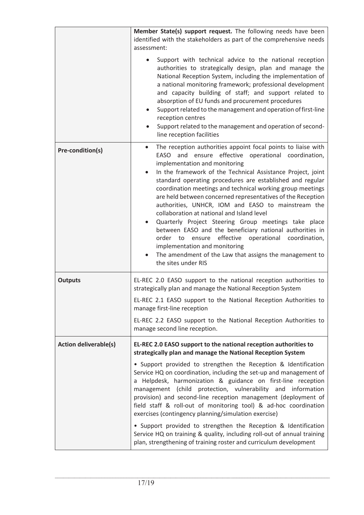|                              | Member State(s) support request. The following needs have been<br>identified with the stakeholders as part of the comprehensive needs<br>assessment:<br>Support with technical advice to the national reception<br>authorities to strategically design, plan and manage the<br>National Reception System, including the implementation of<br>a national monitoring framework; professional development<br>and capacity building of staff; and support related to<br>absorption of EU funds and procurement procedures<br>Support related to the management and operation of first-line<br>reception centres<br>Support related to the management and operation of second-<br>line reception facilities                                                                                                              |
|------------------------------|---------------------------------------------------------------------------------------------------------------------------------------------------------------------------------------------------------------------------------------------------------------------------------------------------------------------------------------------------------------------------------------------------------------------------------------------------------------------------------------------------------------------------------------------------------------------------------------------------------------------------------------------------------------------------------------------------------------------------------------------------------------------------------------------------------------------|
| Pre-condition(s)             | The reception authorities appoint focal points to liaise with<br>EASO and ensure effective operational coordination,<br>implementation and monitoring<br>In the framework of the Technical Assistance Project, joint<br>standard operating procedures are established and regular<br>coordination meetings and technical working group meetings<br>are held between concerned representatives of the Reception<br>authorities, UNHCR, IOM and EASO to mainstream the<br>collaboration at national and Island level<br>Quarterly Project Steering Group meetings take place<br>between EASO and the beneficiary national authorities in<br>effective operational coordination,<br>order to ensure<br>implementation and monitoring<br>The amendment of the Law that assigns the management to<br>the sites under RIS |
| <b>Outputs</b>               | EL-REC 2.0 EASO support to the national reception authorities to<br>strategically plan and manage the National Reception System<br>EL-REC 2.1 EASO support to the National Reception Authorities to<br>manage first-line reception<br>EL-REC 2.2 EASO support to the National Reception Authorities to<br>manage second line reception.                                                                                                                                                                                                                                                                                                                                                                                                                                                                             |
| <b>Action deliverable(s)</b> | EL-REC 2.0 EASO support to the national reception authorities to<br>strategically plan and manage the National Reception System<br>• Support provided to strengthen the Reception & Identification<br>Service HQ on coordination, including the set-up and management of<br>a Helpdesk, harmonization & guidance on first-line reception<br>management (child protection, vulnerability and information<br>provision) and second-line reception management (deployment of<br>field staff & roll-out of monitoring tool) & ad-hoc coordination<br>exercises (contingency planning/simulation exercise)<br>• Support provided to strengthen the Reception & Identification<br>Service HQ on training & quality, including roll-out of annual training                                                                 |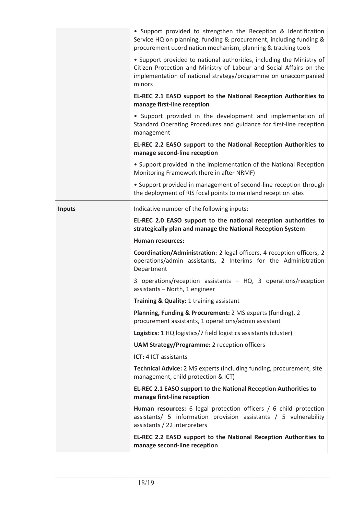|               | • Support provided to strengthen the Reception & Identification<br>Service HQ on planning, funding & procurement, including funding &<br>procurement coordination mechanism, planning & tracking tools                   |
|---------------|--------------------------------------------------------------------------------------------------------------------------------------------------------------------------------------------------------------------------|
|               | • Support provided to national authorities, including the Ministry of<br>Citizen Protection and Ministry of Labour and Social Affairs on the<br>implementation of national strategy/programme on unaccompanied<br>minors |
|               | EL-REC 2.1 EASO support to the National Reception Authorities to<br>manage first-line reception                                                                                                                          |
|               | • Support provided in the development and implementation of<br>Standard Operating Procedures and guidance for first-line reception<br>management                                                                         |
|               | EL-REC 2.2 EASO support to the National Reception Authorities to<br>manage second-line reception                                                                                                                         |
|               | • Support provided in the implementation of the National Reception<br>Monitoring Framework (here in after NRMF)                                                                                                          |
|               | • Support provided in management of second-line reception through<br>the deployment of RIS focal points to mainland reception sites                                                                                      |
| <b>Inputs</b> | Indicative number of the following inputs:                                                                                                                                                                               |
|               | EL-REC 2.0 EASO support to the national reception authorities to<br>strategically plan and manage the National Reception System                                                                                          |
|               | <b>Human resources:</b>                                                                                                                                                                                                  |
|               | Coordination/Administration: 2 legal officers, 4 reception officers, 2<br>operations/admin assistants, 2 Interims for the Administration<br>Department                                                                   |
|               | 3 operations/reception assistants - HQ, 3 operations/reception<br>assistants - North, 1 engineer                                                                                                                         |
|               | Training & Quality: 1 training assistant                                                                                                                                                                                 |
|               | Planning, Funding & Procurement: 2 MS experts (funding), 2<br>procurement assistants, 1 operations/admin assistant                                                                                                       |
|               | Logistics: 1 HQ logistics/7 field logistics assistants (cluster)                                                                                                                                                         |
|               | <b>UAM Strategy/Programme: 2 reception officers</b>                                                                                                                                                                      |
|               | ICT: 4 ICT assistants                                                                                                                                                                                                    |
|               | Technical Advice: 2 MS experts (including funding, procurement, site<br>management, child protection & ICT)                                                                                                              |
|               | EL-REC 2.1 EASO support to the National Reception Authorities to<br>manage first-line reception                                                                                                                          |
|               | Human resources: 6 legal protection officers / 6 child protection<br>assistants/ 5 information provision assistants / 5 vulnerability<br>assistants / 22 interpreters                                                    |
|               | EL-REC 2.2 EASO support to the National Reception Authorities to<br>manage second-line reception                                                                                                                         |